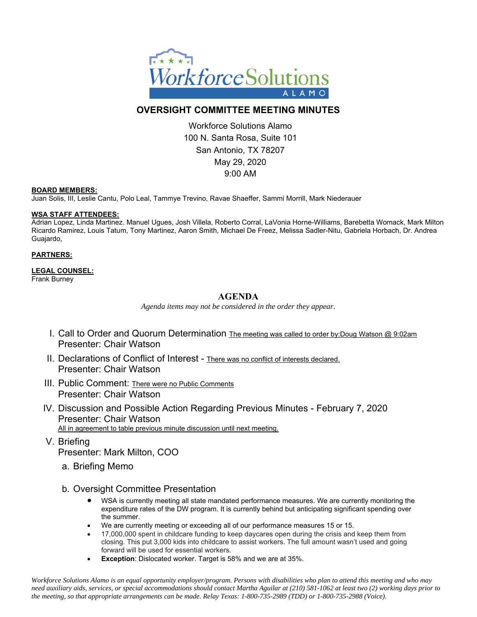

# **OVERSIGHT COMMITTEE MEETING MINUTES**

Workforce Solutions Alamo 100 N. Santa Rosa, Suite 101 San Antonio, TX 78207 May 29, 2020 9:00 AM

#### **BOARD MEMBERS:**

Juan Solis, III, Leslie Cantu, Polo Leal, Tammye Trevino, Ravae Shaeffer, Sammi Morrill, Mark Niederauer

#### **WSA STAFF ATTENDEES:**

Adrian Lopez, Linda Martinez. Manuel Ugues, Josh Villela, Roberto Corral, LaVonia Horne-Williams, Barebetta Womack, Mark Milton Ricardo Ramirez, Louis Tatum, Tony Martinez, Aaron Smith, Michael De Freez, Melissa Sadler-Nitu, Gabriela Horbach, Dr. Andrea Guajardo,

#### **PARTNERS:**

### **LEGAL COUNSEL:**

Frank Burney

# **AGENDA**

*Agenda items may not be considered in the order they appear.* 

- I. Call to Order and Quorum Determination The meeting was called to order by:Doug Watson @ 9:02am Presenter: Chair Watson
- II. Declarations of Conflict of Interest There was no conflict of interests declared. Presenter: Chair Watson
- III. Public Comment: There were no Public Comments Presenter: Chair Watson
- IV. Discussion and Possible Action Regarding Previous Minutes February 7, 2020 Presenter: Chair Watson All in agreement to table previous minute discussion until next meeting.
- V. Briefing Presenter: Mark Milton, COO
	- a. Briefing Memo
	- b. Oversight Committee Presentation
		- WSA is currently meeting all state mandated performance measures. We are currently monitoring the expenditure rates of the DW program. It is currently behind but anticipating significant spending over the summer.
		- We are currently meeting or exceeding all of our performance measures 15 or 15.
		- 17,000,000 spent in childcare funding to keep daycares open during the crisis and keep them from closing. This put 3,000 kids into childcare to assist workers. The full amount wasn't used and going forward will be used for essential workers.
		- **Exception**: Dislocated worker. Target is 58% and we are at 35%.

*Workforce Solutions Alamo is an equal opportunity employer/program. Persons with disabilities who plan to attend this meeting and who may need auxiliary aids, services, or special accommodations should contact Martha Aguilar at (210) 581-1062 at least two (2) working days prior to the meeting, so that appropriate arrangements can be made. Relay Texas: 1-800-735-2989 (TDD) or 1-800-735-2988 (Voice).*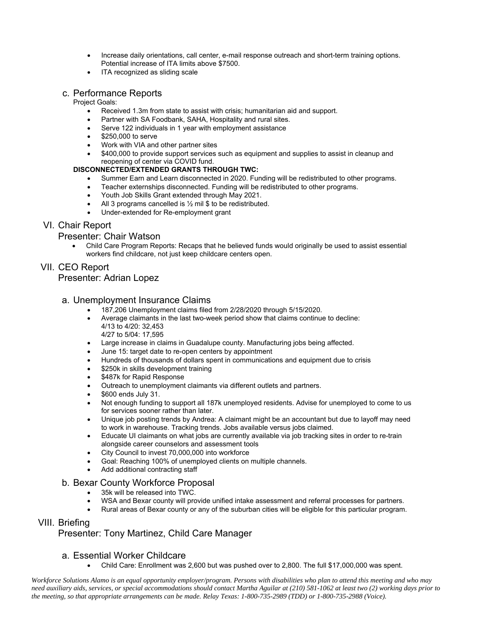- Increase daily orientations, call center, e-mail response outreach and short-term training options. Potential increase of ITA limits above \$7500.
- ITA recognized as sliding scale

### c. Performance Reports

### Project Goals:

- Received 1.3m from state to assist with crisis; humanitarian aid and support.
- Partner with SA Foodbank, SAHA, Hospitality and rural sites.
- Serve 122 individuals in 1 year with employment assistance
- \$250,000 to serve
- Work with VIA and other partner sites
- \$400,000 to provide support services such as equipment and supplies to assist in cleanup and reopening of center via COVID fund.

### **DISCONNECTED/EXTENDED GRANTS THROUGH TWC:**

- Summer Earn and Learn disconnected in 2020. Funding will be redistributed to other programs.
- Teacher externships disconnected. Funding will be redistributed to other programs.
- Youth Job Skills Grant extended through May 2021.
- All 3 programs cancelled is ½ mil \$ to be redistributed.
- Under-extended for Re-employment grant

## VI. Chair Report

### Presenter: Chair Watson

 Child Care Program Reports: Recaps that he believed funds would originally be used to assist essential workers find childcare, not just keep childcare centers open.

# VII. CEO Report

## Presenter: Adrian Lopez

## a. Unemployment Insurance Claims

- 187,206 Unemployment claims filed from 2/28/2020 through 5/15/2020.
- Average claimants in the last two-week period show that claims continue to decline: 4/13 to 4/20: 32,453
- 4/27 to 5/04: 17,595
- Large increase in claims in Guadalupe county. Manufacturing jobs being affected.
- June 15: target date to re-open centers by appointment
- Hundreds of thousands of dollars spent in communications and equipment due to crisis
- \$250k in skills development training
- \$487k for Rapid Response
- Outreach to unemployment claimants via different outlets and partners.
- \$600 ends July 31.
- Not enough funding to support all 187k unemployed residents. Advise for unemployed to come to us for services sooner rather than later.
- Unique job posting trends by Andrea: A claimant might be an accountant but due to layoff may need to work in warehouse. Tracking trends. Jobs available versus jobs claimed.
- Educate UI claimants on what jobs are currently available via job tracking sites in order to re-train alongside career counselors and assessment tools
- City Council to invest 70,000,000 into workforce
- Goal: Reaching 100% of unemployed clients on multiple channels.
- Add additional contracting staff

### b. Bexar County Workforce Proposal

- 35k will be released into TWC.
- WSA and Bexar county will provide unified intake assessment and referral processes for partners.
- Rural areas of Bexar county or any of the suburban cities will be eligible for this particular program.

# VIII. Briefing

# Presenter: Tony Martinez, Child Care Manager

## a. Essential Worker Childcare

Child Care: Enrollment was 2,600 but was pushed over to 2,800. The full \$17,000,000 was spent.

*Workforce Solutions Alamo is an equal opportunity employer/program. Persons with disabilities who plan to attend this meeting and who may need auxiliary aids, services, or special accommodations should contact Martha Aguilar at (210) 581-1062 at least two (2) working days prior to the meeting, so that appropriate arrangements can be made. Relay Texas: 1-800-735-2989 (TDD) or 1-800-735-2988 (Voice).*